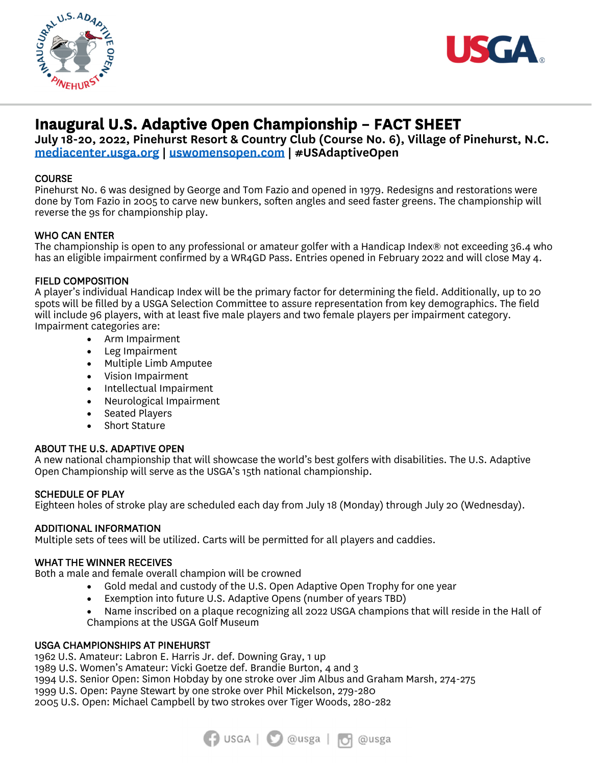



## **Inaugural U.S. Adaptive Open Championship – FACT SHEET**

**July 18-20, 2022, Pinehurst Resort & Country Club (Course No. 6), Village of Pinehurst, N.C. mediacenter.usga.org | uswomensopen.com | #USAdaptiveOpen** 

### **COURSE**

Pinehurst No. 6 was designed by George and Tom Fazio and opened in 1979. Redesigns and restorations were done by Tom Fazio in 2005 to carve new bunkers, soften angles and seed faster greens. The championship will reverse the 9s for championship play.

### WHO CAN ENTER

The championship is open to any professional or amateur golfer with a Handicap Index® not exceeding 36.4 who has an eligible impairment confirmed by a WR4GD Pass. Entries opened in February 2022 and will close May 4.

### FIELD COMPOSITION

A player's individual Handicap Index will be the primary factor for determining the field. Additionally, up to 20 spots will be filled by a USGA Selection Committee to assure representation from key demographics. The field will include 96 players, with at least five male players and two female players per impairment category. Impairment categories are:

- Arm Impairment
- Leg Impairment
- Multiple Limb Amputee
- Vision Impairment
- Intellectual Impairment
- Neurological Impairment
- Seated Players
- Short Stature

ABOUT THE U.S. ADAPTIVE OPEN<br>A new national championship that will showcase the world's best golfers with disabilities. The U.S. Adaptive Open Championship will serve as the USGA's 15th national championship.

#### SCHEDULE OF PLAY

Eighteen holes of stroke play are scheduled each day from July 18 (Monday) through July 20 (Wednesday).

ADDITIONAL INFORMATION<br>Multiple sets of tees will be utilized. Carts will be permitted for all players and caddies.

WHAT THE WINNER RECEIVES<br>Both a male and female overall champion will be crowned

- Gold medal and custody of the U.S. Open Adaptive Open Trophy for one year
- Exemption into future U.S. Adaptive Opens (number of years TBD)
- Name inscribed on a plaque recognizing all 2022 USGA champions that will reside in the Hall of Champions at the USGA Golf Museum

#### USGA CHAMPIONSHIPS AT PINEHURST

1962 U.S. Amateur: Labron E. Harris Jr. def. Downing Gray, 1 up

1989 U.S. Women's Amateur: Vicki Goetze def. Brandie Burton, 4 and 3

1994 U.S. Senior Open: Simon Hobday by one stroke over Jim Albus and Graham Marsh, 274-275

1999 U.S. Open: Payne Stewart by one stroke over Phil Mickelson, 279-280

2005 U.S. Open: Michael Campbell by two strokes over Tiger Woods, 280-282

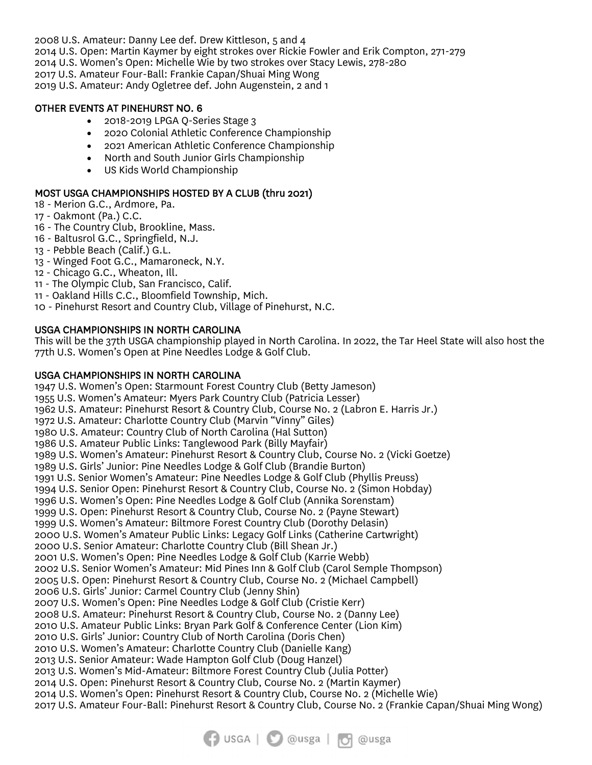2008 U.S. Amateur: Danny Lee def. Drew Kittleson, 5 and 4

2014 U.S. Open: Martin Kaymer by eight strokes over Rickie Fowler and Erik Compton, 271-279

2014 U.S. Women's Open: Michelle Wie by two strokes over Stacy Lewis, 278-280

2017 U.S. Amateur Four-Ball: Frankie Capan/Shuai Ming Wong

2019 U.S. Amateur: Andy Ogletree def. John Augenstein, 2 and 1

### OTHER EVENTS AT PINEHURST NO. 6

- 2018-2019 LPGA Q-Series Stage 3
- 2020 Colonial Athletic Conference Championship
- 2021 American Athletic Conference Championship
- North and South Junior Girls Championship
- US Kids World Championship

# MOST USGA CHAMPIONSHIPS HOSTED BY A CLUB (thru 2021) 18 - Merion G.C., Ardmore, Pa.

- 
- 17 Oakmont (Pa.) C.C.
- 16 The Country Club, Brookline, Mass.
- 16 Baltusrol G.C., Springfield, N.J.
- 13 Pebble Beach (Calif.) G.L.
- 13 Winged Foot G.C., Mamaroneck, N.Y.
- 12 Chicago G.C., Wheaton, Ill.
- 11 The Olympic Club, San Francisco, Calif.
- 11 Oakland Hills C.C., Bloomfield Township, Mich.
- 10 Pinehurst Resort and Country Club, Village of Pinehurst, N.C.

### USGA CHAMPIONSHIPS IN NORTH CAROLINA

This will be the 37th USGA championship played in North Carolina. In 2022, the Tar Heel State will also host the 77th U.S. Women's Open at Pine Needles Lodge & Golf Club.

USGA CHAMPIONSHIPS IN NORTH CAROLINA 1947 U.S. Women's Open: Starmount Forest Country Club (Betty Jameson) 1955 U.S. Women's Amateur: Myers Park Country Club (Patricia Lesser) 1962 U.S. Amateur: Pinehurst Resort & Country Club, Course No. 2 (Labron E. Harris Jr.) 1972 U.S. Amateur: Charlotte Country Club (Marvin "Vinny" Giles) 1980 U.S. Amateur: Country Club of North Carolina (Hal Sutton) 1986 U.S. Amateur Public Links: Tanglewood Park (Billy Mayfair) 1989 U.S. Women's Amateur: Pinehurst Resort & Country Club, Course No. 2 (Vicki Goetze) 1989 U.S. Girls' Junior: Pine Needles Lodge & Golf Club (Brandie Burton) 1991 U.S. Senior Women's Amateur: Pine Needles Lodge & Golf Club (Phyllis Preuss) 1994 U.S. Senior Open: Pinehurst Resort & Country Club, Course No. 2 (Simon Hobday) 1996 U.S. Women's Open: Pine Needles Lodge & Golf Club (Annika Sorenstam) 1999 U.S. Open: Pinehurst Resort & Country Club, Course No. 2 (Payne Stewart) 1999 U.S. Women's Amateur: Biltmore Forest Country Club (Dorothy Delasin) 2000 U.S. Women's Amateur Public Links: Legacy Golf Links (Catherine Cartwright) 2000 U.S. Senior Amateur: Charlotte Country Club (Bill Shean Jr.) 2001 U.S. Women's Open: Pine Needles Lodge & Golf Club (Karrie Webb) 2002 U.S. Senior Women's Amateur: Mid Pines Inn & Golf Club (Carol Semple Thompson) 2005 U.S. Open: Pinehurst Resort & Country Club, Course No. 2 (Michael Campbell) 2006 U.S. Girls' Junior: Carmel Country Club (Jenny Shin) 2007 U.S. Women's Open: Pine Needles Lodge & Golf Club (Cristie Kerr) 2008 U.S. Amateur: Pinehurst Resort & Country Club, Course No. 2 (Danny Lee) 2010 U.S. Amateur Public Links: Bryan Park Golf & Conference Center (Lion Kim) 2010 U.S. Girls' Junior: Country Club of North Carolina (Doris Chen) 2010 U.S. Women's Amateur: Charlotte Country Club (Danielle Kang) 2013 U.S. Senior Amateur: Wade Hampton Golf Club (Doug Hanzel) 2013 U.S. Women's Mid-Amateur: Biltmore Forest Country Club (Julia Potter) 2014 U.S. Open: Pinehurst Resort & Country Club, Course No. 2 (Martin Kaymer) 2014 U.S. Women's Open: Pinehurst Resort & Country Club, Course No. 2 (Michelle Wie)

2017 U.S. Amateur Four-Ball: Pinehurst Resort & Country Club, Course No. 2 (Frankie Capan/Shuai Ming Wong)